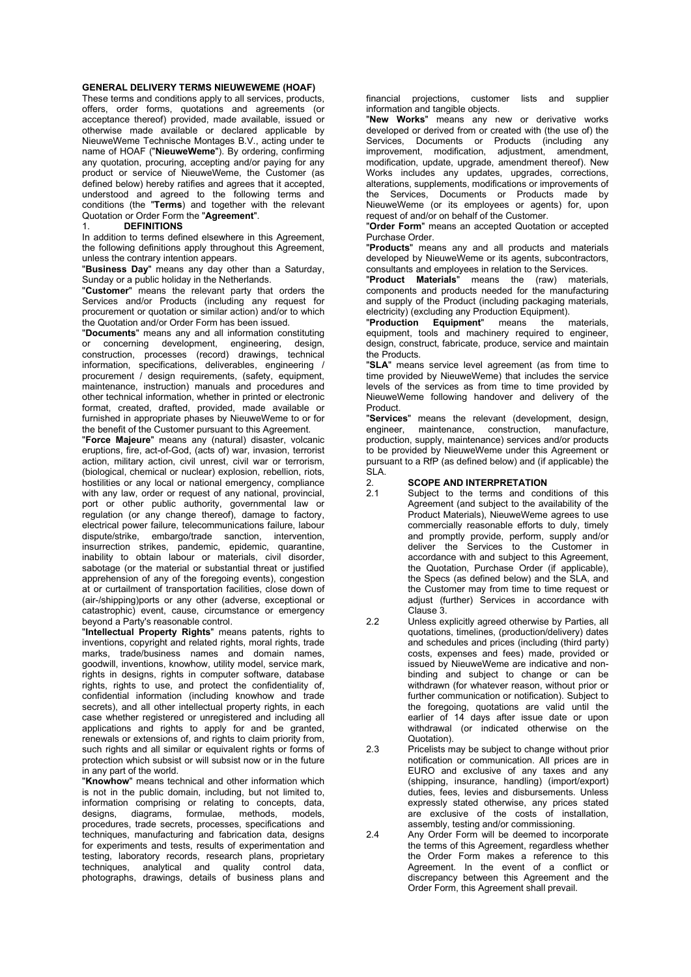#### GENERAL DELIVERY TERMS NIEUWEWEME (HOAF)

These terms and conditions apply to all services, products, offers, order forms, quotations and agreements (or acceptance thereof) provided, made available, issued or otherwise made available or declared applicable by NieuweWeme Technische Montages B.V., acting under te name of HOAF ("NieuweWeme"). By ordering, confirming any quotation, procuring, accepting and/or paying for any product or service of NieuweWeme, the Customer (as defined below) hereby ratifies and agrees that it accepted, understood and agreed to the following terms and conditions (the "Terms) and together with the relevant Quotation or Order Form the "Agreement".

#### **DEFINITIONS**

In addition to terms defined elsewhere in this Agreement, the following definitions apply throughout this Agreement, unless the contrary intention appears.

"Business Day" means any day other than a Saturday, Sunday or a public holiday in the Netherlands.

"Customer" means the relevant party that orders the Services and/or Products (including any request for procurement or quotation or similar action) and/or to which the Quotation and/or Order Form has been issued.

"Documents" means any and all information constituting or concerning development, engineering, design, construction, processes (record) drawings, technical information, specifications, deliverables, engineering / procurement / design requirements, (safety, equipment, maintenance, instruction) manuals and procedures and other technical information, whether in printed or electronic format, created, drafted, provided, made available or furnished in appropriate phases by NieuweWeme to or for the benefit of the Customer pursuant to this Agreement.

"Force Majeure" means any (natural) disaster, volcanic eruptions, fire, act-of-God, (acts of) war, invasion, terrorist action, military action, civil unrest, civil war or terrorism, (biological, chemical or nuclear) explosion, rebellion, riots, hostilities or any local or national emergency, compliance with any law, order or request of any national, provincial, port or other public authority, governmental law or regulation (or any change thereof), damage to factory, electrical power failure, telecommunications failure, labour dispute/strike, embargo/trade sanction, intervention, insurrection strikes, pandemic, epidemic, quarantine, inability to obtain labour or materials, civil disorder, sabotage (or the material or substantial threat or justified apprehension of any of the foregoing events), congestion at or curtailment of transportation facilities, close down of (air-/shipping)ports or any other (adverse, exceptional or catastrophic) event, cause, circumstance or emergency beyond a Party's reasonable control.

"Intellectual Property Rights" means patents, rights to inventions, copyright and related rights, moral rights, trade marks, trade/business names and domain names, goodwill, inventions, knowhow, utility model, service mark, rights in designs, rights in computer software, database rights, rights to use, and protect the confidentiality of, confidential information (including knowhow and trade secrets), and all other intellectual property rights, in each case whether registered or unregistered and including all applications and rights to apply for and be granted, renewals or extensions of, and rights to claim priority from, such rights and all similar or equivalent rights or forms of protection which subsist or will subsist now or in the future in any part of the world.

"Knowhow" means technical and other information which is not in the public domain, including, but not limited to, information comprising or relating to concepts, data, designs, diagrams, formulae, methods, models, procedures, trade secrets, processes, specifications and techniques, manufacturing and fabrication data, designs for experiments and tests, results of experimentation and testing, laboratory records, research plans, proprietary techniques, analytical and quality control data, photographs, drawings, details of business plans and financial projections, customer lists and supplier information and tangible objects.

"New Works" means any new or derivative works developed or derived from or created with (the use of) the Services, Documents or Products (including any improvement, modification, adjustment, amendment, modification, update, upgrade, amendment thereof). New Works includes any updates, upgrades, corrections, alterations, supplements, modifications or improvements of the Services, Documents or Products made by NieuweWeme (or its employees or agents) for, upon request of and/or on behalf of the Customer.

"Order Form" means an accepted Quotation or accepted Purchase Order.

"Products" means any and all products and materials developed by NieuweWeme or its agents, subcontractors, consultants and employees in relation to the Services.

"Product Materials" means the (raw) materials, components and products needed for the manufacturing and supply of the Product (including packaging materials, electricity) (excluding any Production Equipment).

"Production Equipment" means the materials, equipment, tools and machinery required to engineer, design, construct, fabricate, produce, service and maintain the Products.

"SLA" means service level agreement (as from time to time provided by NieuweWeme) that includes the service levels of the services as from time to time provided by NieuweWeme following handover and delivery of the Product.

"Services" means the relevant (development, design, engineer, maintenance, construction, manufacture, maintenance, construction, production, supply, maintenance) services and/or products to be provided by NieuweWeme under this Agreement or pursuant to a RfP (as defined below) and (if applicable) the SLA.

2. **SCOPE AND INTERPRETATION**<br>2.1 Subject to the terms and cone

Subject to the terms and conditions of this Agreement (and subject to the availability of the Product Materials), NieuweWeme agrees to use commercially reasonable efforts to duly, timely and promptly provide, perform, supply and/or deliver the Services to the Customer in accordance with and subject to this Agreement, the Quotation, Purchase Order (if applicable), the Specs (as defined below) and the SLA, and the Customer may from time to time request or adjust (further) Services in accordance with Clause 3.

2.2 Unless explicitly agreed otherwise by Parties, all quotations, timelines, (production/delivery) dates and schedules and prices (including (third party) costs, expenses and fees) made, provided or issued by NieuweWeme are indicative and nonbinding and subject to change or can be withdrawn (for whatever reason, without prior or further communication or notification). Subject to the foregoing, quotations are valid until the earlier of 14 days after issue date or upon withdrawal (or indicated otherwise on the Quotation).

2.3 Pricelists may be subject to change without prior notification or communication. All prices are in EURO and exclusive of any taxes and any (shipping, insurance, handling) (import/export) duties, fees, levies and disbursements. Unless expressly stated otherwise, any prices stated are exclusive of the costs of installation, assembly, testing and/or commissioning.

2.4 Any Order Form will be deemed to incorporate the terms of this Agreement, regardless whether the Order Form makes a reference to this Agreement. In the event of a conflict or discrepancy between this Agreement and the Order Form, this Agreement shall prevail.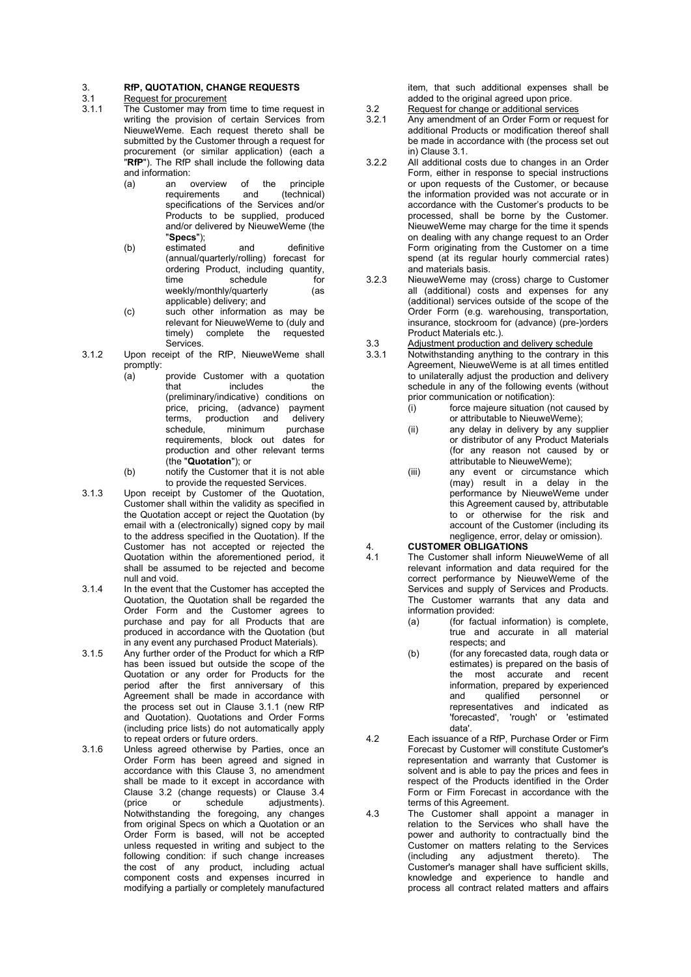### 3. RfP, QUOTATION, CHANGE REQUESTS<br>3.1 Request for procurement

### 3.1 Request for procurement<br>3.1.1 The Customer may from

- The Customer may from time to time request in writing the provision of certain Services from NieuweWeme. Each request thereto shall be submitted by the Customer through a request for procurement (or similar application) (each a "RfP"). The RfP shall include the following data and information:<br>(a) an overview
	- (a) an overview of the principle requirements specifications of the Services and/or Products to be supplied, produced and/or delivered by NieuweWeme (the "Specs");
	- (b) estimated and definitive (annual/quarterly/rolling) forecast for ordering Product, including quantity, time schedule for weekly/monthly/quarterly (as applicable) delivery; and
	- (c) such other information as may be relevant for NieuweWeme to (duly and timely) complete the requested **Services**
- 3.1.2 Upon receipt of the RfP, NieuweWeme shall promptly:
	- $(a)$  provide Customer with a quotation that includes the (preliminary/indicative) conditions on price, pricing, (advance) payment terms, production and delivery<br>schedule, minimum purchase minimum requirements, block out dates for production and other relevant terms (the "Quotation"); or
	- (b) notify the Customer that it is not able to provide the requested Services.
- 3.1.3 Upon receipt by Customer of the Quotation, Customer shall within the validity as specified in the Quotation accept or reject the Quotation (by email with a (electronically) signed copy by mail to the address specified in the Quotation). If the Customer has not accepted or rejected the Quotation within the aforementioned period, it shall be assumed to be rejected and become null and void.
- 3.1.4 In the event that the Customer has accepted the Quotation, the Quotation shall be regarded the Order Form and the Customer agrees to purchase and pay for all Products that are produced in accordance with the Quotation (but in any event any purchased Product Materials).
- 3.1.5 Any further order of the Product for which a RfP has been issued but outside the scope of the Quotation or any order for Products for the period after the first anniversary of this Agreement shall be made in accordance with the process set out in Clause 3.1.1 (new RfP and Quotation). Quotations and Order Forms (including price lists) do not automatically apply to repeat orders or future orders.
- 3.1.6 Unless agreed otherwise by Parties, once an Order Form has been agreed and signed in accordance with this Clause 3, no amendment shall be made to it except in accordance with Clause 3.2 (change requests) or Clause 3.4 (price or schedule adjustments). Notwithstanding the foregoing, any changes from original Specs on which a Quotation or an Order Form is based, will not be accepted unless requested in writing and subject to the following condition: if such change increases the cost of any product, including actual component costs and expenses incurred in modifying a partially or completely manufactured

item, that such additional expenses shall be added to the original agreed upon price.

- 3.2 Request for change or additional services<br>3.2.1 Any amendment of an Order Form or requ Any amendment of an Order Form or request for additional Products or modification thereof shall be made in accordance with (the process set out in) Clause 3.1.
- 3.2.2 All additional costs due to changes in an Order Form, either in response to special instructions or upon requests of the Customer, or because the information provided was not accurate or in accordance with the Customer's products to be processed, shall be borne by the Customer. NieuweWeme may charge for the time it spends on dealing with any change request to an Order Form originating from the Customer on a time spend (at its regular hourly commercial rates) and materials basis.
- 3.2.3 NieuweWeme may (cross) charge to Customer all (additional) costs and expenses for any (additional) services outside of the scope of the Order Form (e.g. warehousing, transportation, insurance, stockroom for (advance) (pre-)orders Product Materials etc.).
- 3.3 Adjustment production and delivery schedule<br>3.3.1 Notwithstanding anything to the contrary in
- Notwithstanding anything to the contrary in this Agreement, NieuweWeme is at all times entitled to unilaterally adjust the production and delivery schedule in any of the following events (without prior communication or notification):
	- (i) force majeure situation (not caused by or attributable to NieuweWeme);
	- (ii) any delay in delivery by any supplier or distributor of any Product Materials (for any reason not caused by or attributable to NieuweWeme);
	- (iii) any event or circumstance which (may) result in a delay in the performance by NieuweWeme under this Agreement caused by, attributable to or otherwise for the risk and account of the Customer (including its negligence, error, delay or omission).

# 4. **CUSTOMER OBLIGATIONS**<br>4.1 The Customer shall inform N

- The Customer shall inform NieuweWeme of all relevant information and data required for the correct performance by NieuweWeme of the Services and supply of Services and Products. The Customer warrants that any data and information provided:
	- (a) (for factual information) is complete, true and accurate in all material respects; and
	- (b) (for any forecasted data, rough data or estimates) is prepared on the basis of the most accurate and recent information, prepared by experienced and qualified personnel or representatives and indicated as 'forecasted', 'rough' or 'estimated data'.
- 4.2 Each issuance of a RfP, Purchase Order or Firm Forecast by Customer will constitute Customer's representation and warranty that Customer is solvent and is able to pay the prices and fees in respect of the Products identified in the Order Form or Firm Forecast in accordance with the terms of this Agreement.
- 4.3 The Customer shall appoint a manager in relation to the Services who shall have the power and authority to contractually bind the Customer on matters relating to the Services (including any adjustment thereto). The Customer's manager shall have sufficient skills, knowledge and experience to handle and process all contract related matters and affairs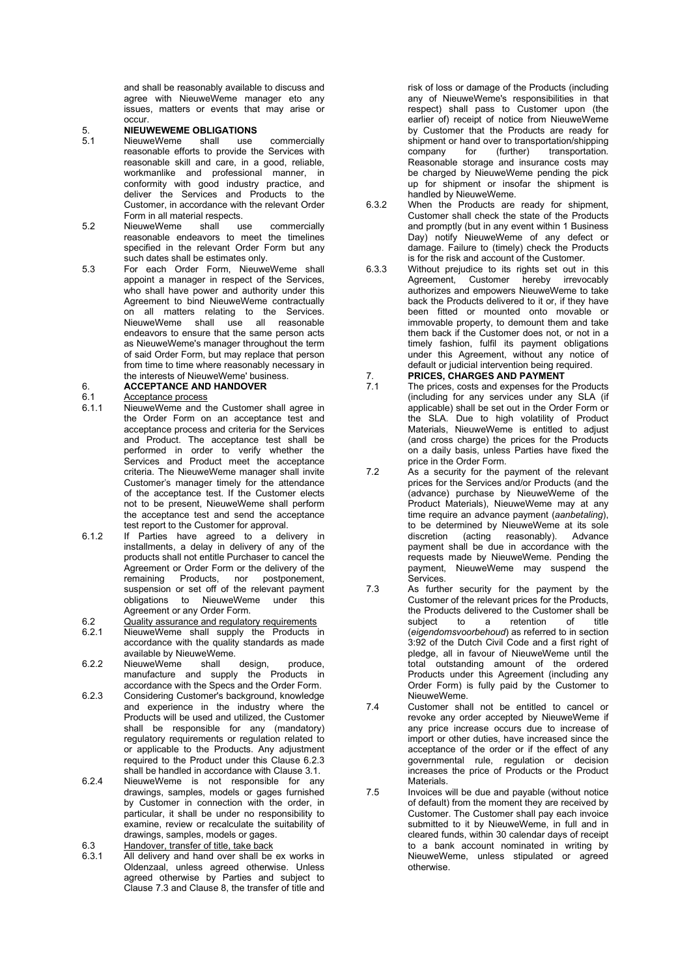and shall be reasonably available to discuss and agree with NieuweWeme manager eto any issues, matters or events that may arise or occur.

## 5. **NIEUWEWEME OBLIGATIONS**<br>5.1 MieuweWeme shall use

- 5.1 NieuweWeme shall use commercially reasonable efforts to provide the Services with reasonable skill and care, in a good, reliable, workmanlike and professional manner, in conformity with good industry practice, and deliver the Services and Products to the Customer, in accordance with the relevant Order Form in all material respects.
- 5.2 NieuweWeme shall use commercially reasonable endeavors to meet the timelines specified in the relevant Order Form but any such dates shall be estimates only.
- 5.3 For each Order Form, NieuweWeme shall appoint a manager in respect of the Services, who shall have power and authority under this Agreement to bind NieuweWeme contractually on all matters relating to the Services. NieuweWeme shall use all reasonable endeavors to ensure that the same person acts as NieuweWeme's manager throughout the term of said Order Form, but may replace that person from time to time where reasonably necessary in the interests of NieuweWeme' business.

# 6. **ACCEPTANCE AND HANDOVER**<br>6.1 Acceptance process

### 6.1 Acceptance process<br>6.1.1 NieuweWeme and the

- NieuweWeme and the Customer shall agree in the Order Form on an acceptance test and acceptance process and criteria for the Services and Product. The acceptance test shall be performed in order to verify whether the Services and Product meet the acceptance criteria. The NieuweWeme manager shall invite Customer's manager timely for the attendance of the acceptance test. If the Customer elects not to be present, NieuweWeme shall perform the acceptance test and send the acceptance test report to the Customer for approval.
- 6.1.2 If Parties have agreed to a delivery in installments, a delay in delivery of any of the products shall not entitle Purchaser to cancel the Agreement or Order Form or the delivery of the remaining Products, nor postponement, suspension or set off of the relevant payment obligations to NieuweWeme under this Agreement or any Order Form.
- 6.2 Quality assurance and regulatory requirements<br>6.2.1 NieuweWeme shall supply the Products
- NieuweWeme shall supply the Products in accordance with the quality standards as made available by NieuweWeme.
- 6.2.2 NieuweWeme shall design, produce, manufacture and supply the Products in accordance with the Specs and the Order Form.
- 6.2.3 Considering Customer's background, knowledge and experience in the industry where the Products will be used and utilized, the Customer shall be responsible for any (mandatory) regulatory requirements or regulation related to or applicable to the Products. Any adjustment required to the Product under this Clause 6.2.3 shall be handled in accordance with Clause 3.1.
- 6.2.4 NieuweWeme is not responsible for any drawings, samples, models or gages furnished by Customer in connection with the order, in particular, it shall be under no responsibility to examine, review or recalculate the suitability of drawings, samples, models or gages.

6.3 Handover, transfer of title, take back<br>6.3.1 All delivery and hand over shall be All delivery and hand over shall be ex works in Oldenzaal, unless agreed otherwise. Unless agreed otherwise by Parties and subject to Clause 7.3 and Clause 8, the transfer of title and risk of loss or damage of the Products (including any of NieuweWeme's responsibilities in that respect) shall pass to Customer upon (the earlier of) receipt of notice from NieuweWeme by Customer that the Products are ready for shipment or hand over to transportation/shipping<br>company for (further) transportation. for (further) transportation. Reasonable storage and insurance costs may be charged by NieuweWeme pending the pick up for shipment or insofar the shipment is handled by NieuweWeme.

- 6.3.2 When the Products are ready for shipment, Customer shall check the state of the Products and promptly (but in any event within 1 Business Day) notify NieuweWeme of any defect or damage. Failure to (timely) check the Products is for the risk and account of the Customer.
- 6.3.3 Without prejudice to its rights set out in this Agreement, Customer authorizes and empowers NieuweWeme to take back the Products delivered to it or, if they have been fitted or mounted onto movable or immovable property, to demount them and take them back if the Customer does not, or not in a timely fashion, fulfil its payment obligations under this Agreement, without any notice of default or judicial intervention being required.

# 7. **PRICES, CHARGES AND PAYMENT**<br>7.1 The prices, costs and expenses for the

- The prices, costs and expenses for the Products (including for any services under any SLA (if applicable) shall be set out in the Order Form or the SLA. Due to high volatility of Product Materials, NieuweWeme is entitled to adjust (and cross charge) the prices for the Products on a daily basis, unless Parties have fixed the price in the Order Form.
- 7.2 As a security for the payment of the relevant prices for the Services and/or Products (and the (advance) purchase by NieuweWeme of the Product Materials), NieuweWeme may at any time require an advance payment (aanbetaling), to be determined by NieuweWeme at its sole discretion (acting reasonably). Advance payment shall be due in accordance with the requests made by NieuweWeme. Pending the payment, NieuweWeme may suspend the **Services**
- 7.3 As further security for the payment by the Customer of the relevant prices for the Products, the Products delivered to the Customer shall be subject to a retention of title (eigendomsvoorbehoud) as referred to in section 3:92 of the Dutch Civil Code and a first right of pledge, all in favour of NieuweWeme until the total outstanding amount of the ordered Products under this Agreement (including any Order Form) is fully paid by the Customer to NieuweWeme.
- 7.4 Customer shall not be entitled to cancel or revoke any order accepted by NieuweWeme if any price increase occurs due to increase of import or other duties, have increased since the acceptance of the order or if the effect of any governmental rule, regulation or decision increases the price of Products or the Product Materials.
- 7.5 Invoices will be due and payable (without notice of default) from the moment they are received by Customer. The Customer shall pay each invoice submitted to it by NieuweWeme, in full and in cleared funds, within 30 calendar days of receipt to a bank account nominated in writing by NieuweWeme, unless stipulated or agreed otherwise.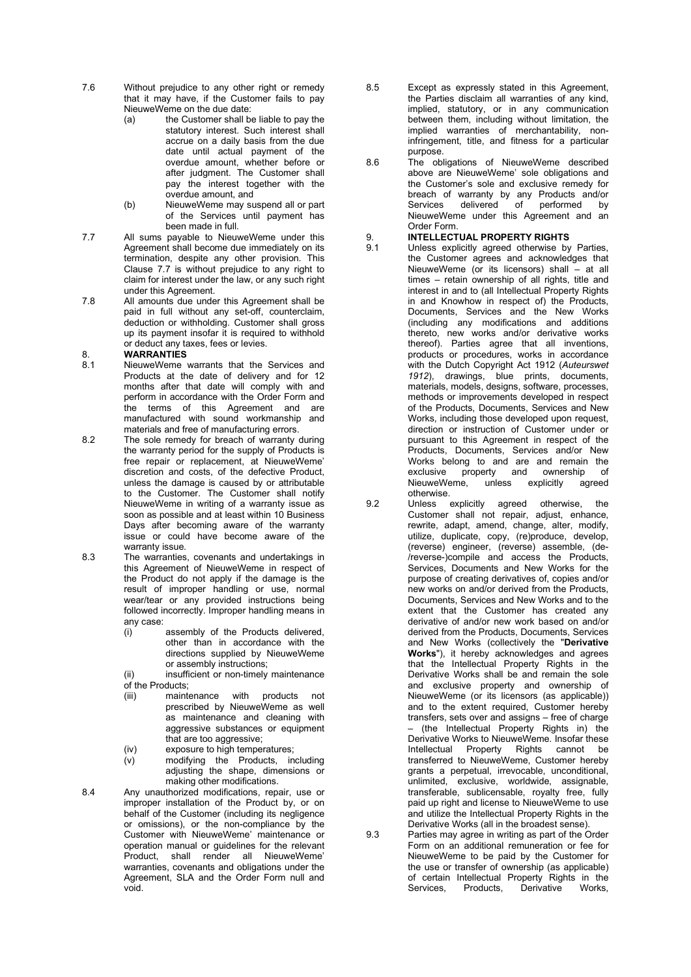- 7.6 Without prejudice to any other right or remedy that it may have, if the Customer fails to pay NieuweWeme on the due date:
	- (a) the Customer shall be liable to pay the statutory interest. Such interest shall accrue on a daily basis from the due date until actual payment of the overdue amount, whether before or after judgment. The Customer shall pay the interest together with the overdue amount, and
	- (b) NieuweWeme may suspend all or part of the Services until payment has been made in full.
- 7.7 All sums payable to NieuweWeme under this Agreement shall become due immediately on its termination, despite any other provision. This Clause 7.7 is without prejudice to any right to claim for interest under the law, or any such right under this Agreement.
- 7.8 All amounts due under this Agreement shall be paid in full without any set-off, counterclaim, deduction or withholding. Customer shall gross up its payment insofar it is required to withhold or deduct any taxes, fees or levies.

### 8. **WARRANTIES**<br>8.1 NieuweWeme

- NieuweWeme warrants that the Services and Products at the date of delivery and for 12 months after that date will comply with and perform in accordance with the Order Form and the terms of this Agreement and are manufactured with sound workmanship and materials and free of manufacturing errors.
- 8.2 The sole remedy for breach of warranty during the warranty period for the supply of Products is free repair or replacement, at NieuweWeme' discretion and costs, of the defective Product, unless the damage is caused by or attributable to the Customer. The Customer shall notify NieuweWeme in writing of a warranty issue as soon as possible and at least within 10 Business Days after becoming aware of the warranty issue or could have become aware of the warranty issue.
- 8.3 The warranties, covenants and undertakings in this Agreement of NieuweWeme in respect of the Product do not apply if the damage is the result of improper handling or use, normal wear/tear or any provided instructions being followed incorrectly. Improper handling means in
	- any case:<br>(i) assembly of the Products delivered. other than in accordance with the directions supplied by NieuweWeme or assembly instructions;
	- (ii) insufficient or non-timely maintenance of the Products;
	- (iii) maintenance with products not prescribed by NieuweWeme as well as maintenance and cleaning with aggressive substances or equipment that are too aggressive;
	- (iv) exposure to high temperatures;
	- (v) modifying the Products, including adjusting the shape, dimensions or making other modifications.
- 8.4 Any unauthorized modifications, repair, use or improper installation of the Product by, or on behalf of the Customer (including its negligence or omissions), or the non-compliance by the Customer with NieuweWeme' maintenance or operation manual or guidelines for the relevant Product, shall render all NieuweWeme' warranties, covenants and obligations under the Agreement, SLA and the Order Form null and void.
- 8.5 Except as expressly stated in this Agreement, the Parties disclaim all warranties of any kind, implied, statutory, or in any communication between them, including without limitation, the implied warranties of merchantability, noninfringement, title, and fitness for a particular purpose.
- 8.6 The obligations of NieuweWeme described above are NieuweWeme' sole obligations and the Customer's sole and exclusive remedy for breach of warranty by any Products and/or<br>Services delivered of performed by delivered of performed by NieuweWeme under this Agreement and an Order Form.

# 9. **INTELLECTUAL PROPERTY RIGHTS**<br>9.1 Unless explicitly agreed otherwise by

- Unless explicitly agreed otherwise by Parties, the Customer agrees and acknowledges that NieuweWeme (or its licensors) shall – at all times – retain ownership of all rights, title and interest in and to (all Intellectual Property Rights in and Knowhow in respect of) the Products, Documents, Services and the New Works (including any modifications and additions thereto, new works and/or derivative works thereof). Parties agree that all inventions, products or procedures, works in accordance with the Dutch Copyright Act 1912 (Auteurswet 1912), drawings, blue prints, documents, materials, models, designs, software, processes, methods or improvements developed in respect of the Products, Documents, Services and New Works, including those developed upon request, direction or instruction of Customer under or pursuant to this Agreement in respect of the Products, Documents, Services and/or New Works belong to and are and remain the exclusive property and ownership of<br>NieuweWeme, unless explicitly agreed NieuweWeme, otherwise.
- 9.2 Unless explicitly agreed otherwise, the Customer shall not repair, adjust, enhance, rewrite, adapt, amend, change, alter, modify, utilize, duplicate, copy, (re)produce, develop, (reverse) engineer, (reverse) assemble, (de- /reverse-)compile and access the Products, Services, Documents and New Works for the purpose of creating derivatives of, copies and/or new works on and/or derived from the Products, Documents, Services and New Works and to the extent that the Customer has created any derivative of and/or new work based on and/or derived from the Products, Documents, Services and New Works (collectively the "Derivative Works"), it hereby acknowledges and agrees that the Intellectual Property Rights in the Derivative Works shall be and remain the sole and exclusive property and ownership of NieuweWeme (or its licensors (as applicable)) and to the extent required, Customer hereby transfers, sets over and assigns – free of charge – (the Intellectual Property Rights in) the Derivative Works to NieuweWeme. Insofar these Intellectual Property Rights cannot be transferred to NieuweWeme, Customer hereby grants a perpetual, irrevocable, unconditional, unlimited, exclusive, worldwide, assignable, transferable, sublicensable, royalty free, fully paid up right and license to NieuweWeme to use and utilize the Intellectual Property Rights in the Derivative Works (all in the broadest sense).
- 9.3 Parties may agree in writing as part of the Order Form on an additional remuneration or fee for NieuweWeme to be paid by the Customer for the use or transfer of ownership (as applicable) of certain Intellectual Property Rights in the<br>Services. Products. Derivative Works. Products, Derivative Works,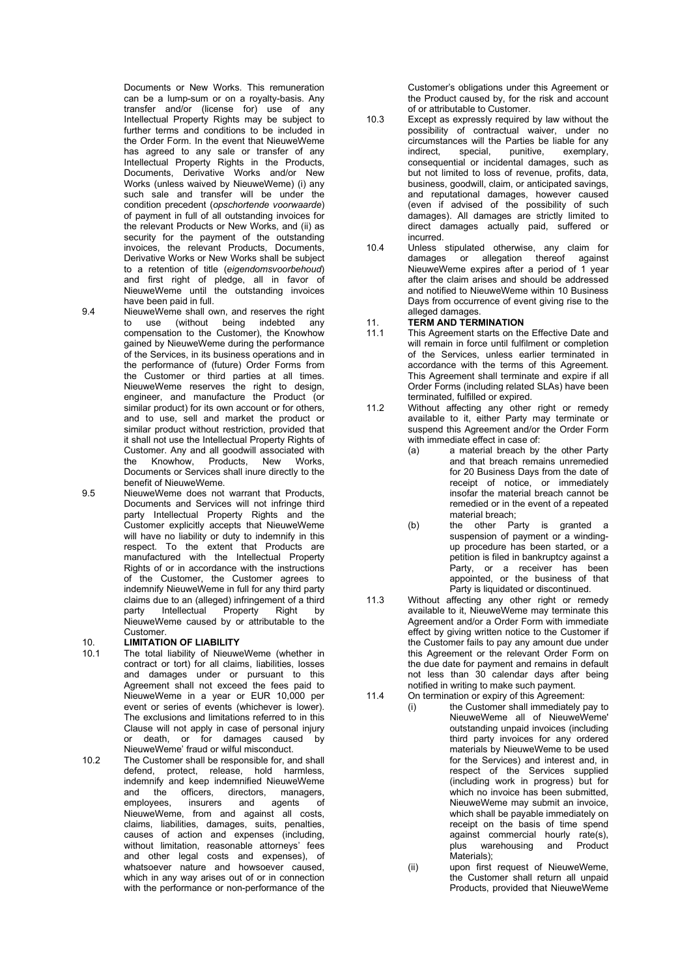Documents or New Works. This remuneration can be a lump-sum or on a royalty-basis. Any transfer and/or (license for) use of any Intellectual Property Rights may be subject to further terms and conditions to be included in the Order Form. In the event that NieuweWeme has agreed to any sale or transfer of any Intellectual Property Rights in the Products, Documents, Derivative Works and/or New Works (unless waived by NieuweWeme) (i) any such sale and transfer will be under the condition precedent (opschortende voorwaarde) of payment in full of all outstanding invoices for the relevant Products or New Works, and (ii) as security for the payment of the outstanding invoices, the relevant Products, Documents, Derivative Works or New Works shall be subject to a retention of title (eigendomsvoorbehoud) and first right of pledge, all in favor of NieuweWeme until the outstanding invoices have been paid in full.

9.4 NieuweWeme shall own, and reserves the right to use (without being indebted any compensation to the Customer), the Knowhow gained by NieuweWeme during the performance of the Services, in its business operations and in the performance of (future) Order Forms from the Customer or third parties at all times. NieuweWeme reserves the right to design, engineer, and manufacture the Product (or similar product) for its own account or for others. and to use, sell and market the product or similar product without restriction, provided that it shall not use the Intellectual Property Rights of Customer. Any and all goodwill associated with the Knowhow, Products, New Works, Documents or Services shall inure directly to the benefit of NieuweWeme.

9.5 NieuweWeme does not warrant that Products, Documents and Services will not infringe third party Intellectual Property Rights and the Customer explicitly accepts that NieuweWeme will have no liability or duty to indemnify in this respect. To the extent that Products are manufactured with the Intellectual Property Rights of or in accordance with the instructions of the Customer, the Customer agrees to indemnify NieuweWeme in full for any third party claims due to an (alleged) infringement of a third party Intellectual Property Right by NieuweWeme caused by or attributable to the Customer.

### 10. **LIMITATION OF LIABILITY**<br>10.1 The total liability of Nieuwe

The total liability of NieuweWeme (whether in contract or tort) for all claims, liabilities, losses and damages under or pursuant to this Agreement shall not exceed the fees paid to NieuweWeme in a year or EUR 10,000 per event or series of events (whichever is lower). The exclusions and limitations referred to in this Clause will not apply in case of personal injury or death, or for damages caused by NieuweWeme' fraud or wilful misconduct.

10.2 The Customer shall be responsible for, and shall defend, protect, release, hold harmless, indemnify and keep indemnified NieuweWeme and the officers, directors, managers,<br>employees, insurers and agents of and agents of NieuweWeme, from and against all costs, claims, liabilities, damages, suits, penalties, causes of action and expenses (including, without limitation, reasonable attorneys' fees and other legal costs and expenses), of whatsoever nature and howsoever caused, which in any way arises out of or in connection with the performance or non-performance of the Customer's obligations under this Agreement or the Product caused by, for the risk and account of or attributable to Customer.

- 10.3 Except as expressly required by law without the possibility of contractual waiver, under no circumstances will the Parties be liable for any indirect, special, punitive, exemplary, indirect, special, punitive, exemplary, consequential or incidental damages, such as but not limited to loss of revenue, profits, data, business, goodwill, claim, or anticipated savings, and reputational damages, however caused (even if advised of the possibility of such damages). All damages are strictly limited to direct damages actually paid, suffered or incurred.
- 10.4 Unless stipulated otherwise, any claim for damages or allegation thereof against NieuweWeme expires after a period of 1 year after the claim arises and should be addressed and notified to NieuweWeme within 10 Business Days from occurrence of event giving rise to the alleged damages.

### 11. TERM AND TERMINATION

- 11.1 This Agreement starts on the Effective Date and will remain in force until fulfilment or completion of the Services, unless earlier terminated in accordance with the terms of this Agreement. This Agreement shall terminate and expire if all Order Forms (including related SLAs) have been terminated, fulfilled or expired.
- 11.2 Without affecting any other right or remedy available to it, either Party may terminate or suspend this Agreement and/or the Order Form with immediate effect in case of:
	- (a) a material breach by the other Party and that breach remains unremedied for 20 Business Days from the date of receipt of notice, or immediately insofar the material breach cannot be remedied or in the event of a repeated material breach;
	- (b) the other Party is granted a suspension of payment or a windingup procedure has been started, or a petition is filed in bankruptcy against a Party, or a receiver has been appointed, or the business of that Party is liquidated or discontinued.
- 11.3 Without affecting any other right or remedy available to it, NieuweWeme may terminate this Agreement and/or a Order Form with immediate effect by giving written notice to the Customer if the Customer fails to pay any amount due under this Agreement or the relevant Order Form on the due date for payment and remains in default not less than 30 calendar days after being notified in writing to make such payment.
- 11.4 On termination or expiry of this Agreement:<br>(i) the Customer shall immediately por the Customer shall immediately pay to NieuweWeme all of NieuweWeme' outstanding unpaid invoices (including third party invoices for any ordered materials by NieuweWeme to be used for the Services) and interest and, in respect of the Services supplied (including work in progress) but for which no invoice has been submitted. NieuweWeme may submit an invoice, which shall be payable immediately on receipt on the basis of time spend against commercial hourly rate(s), plus warehousing and Product Materials);
	- (ii) upon first request of NieuweWeme, the Customer shall return all unpaid Products, provided that NieuweWeme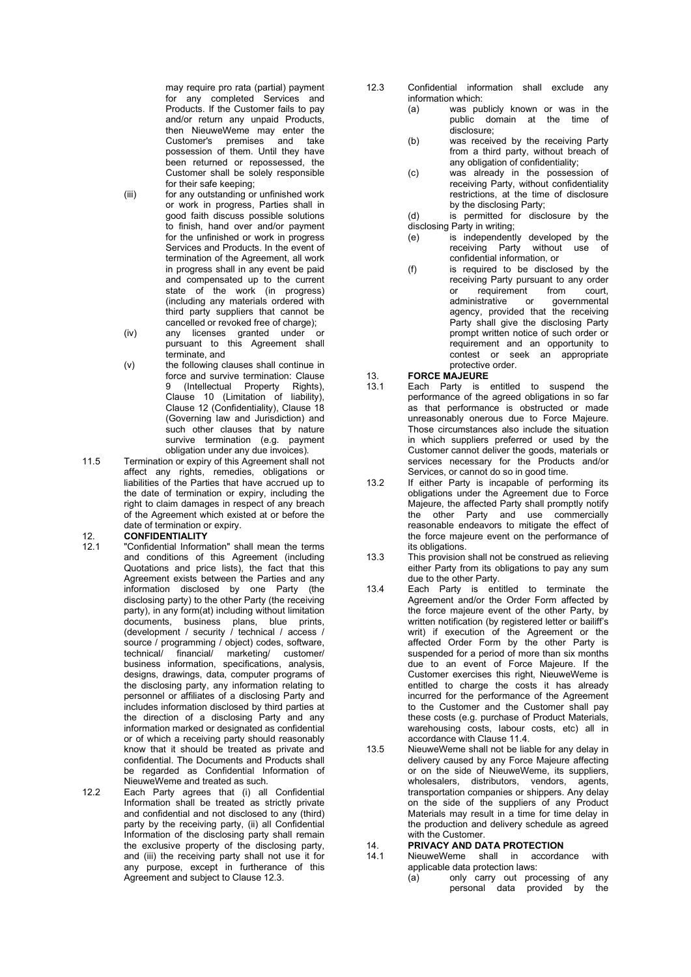may require pro rata (partial) payment for any completed Services and Products. If the Customer fails to pay and/or return any unpaid Products, then NieuweWeme may enter the Customer's premises and take possession of them. Until they have been returned or repossessed, the Customer shall be solely responsible for their safe keeping;

- (iii) for any outstanding or unfinished work or work in progress, Parties shall in good faith discuss possible solutions to finish, hand over and/or payment for the unfinished or work in progress Services and Products. In the event of termination of the Agreement, all work in progress shall in any event be paid and compensated up to the current state of the work (in progress) (including any materials ordered with third party suppliers that cannot be cancelled or revoked free of charge);
- (iv) any licenses granted under or pursuant to this Agreement shall terminate, and
- (v) the following clauses shall continue in force and survive termination: Clause 9 (Intellectual Property Rights), Clause 10 (Limitation of liability), Clause 12 (Confidentiality), Clause 18 (Governing law and Jurisdiction) and such other clauses that by nature survive termination (e.g. payment obligation under any due invoices).
- 11.5 Termination or expiry of this Agreement shall not affect any rights, remedies, obligations or liabilities of the Parties that have accrued up to the date of termination or expiry, including the right to claim damages in respect of any breach of the Agreement which existed at or before the date of termination or expiry.

- 12. **CONFIDENTIALITY**<br>12.1 "Confidential Informa "Confidential Information" shall mean the terms and conditions of this Agreement (including Quotations and price lists), the fact that this Agreement exists between the Parties and any information disclosed by one Party (the disclosing party) to the other Party (the receiving party), in any form(at) including without limitation documents, business plans, blue prints, (development / security / technical / access / source / programming / object) codes, software, technical/ financial/ marketing/ customer/ business information, specifications, analysis, designs, drawings, data, computer programs of the disclosing party, any information relating to personnel or affiliates of a disclosing Party and includes information disclosed by third parties at the direction of a disclosing Party and any information marked or designated as confidential or of which a receiving party should reasonably know that it should be treated as private and confidential. The Documents and Products shall be regarded as Confidential Information of NieuweWeme and treated as such.
- 12.2 Each Party agrees that (i) all Confidential Information shall be treated as strictly private and confidential and not disclosed to any (third) party by the receiving party, (ii) all Confidential Information of the disclosing party shall remain the exclusive property of the disclosing party, and (iii) the receiving party shall not use it for any purpose, except in furtherance of this Agreement and subject to Clause 12.3.
- 12.3 Confidential information shall exclude any information which:
	- (a) was publicly known or was in the public domain at the time of disclosure;
	- (b) was received by the receiving Party from a third party, without breach of any obligation of confidentiality;
	- (c) was already in the possession of receiving Party, without confidentiality restrictions, at the time of disclosure by the disclosing Party;

(d) is permitted for disclosure by the disclosing Party in writing;

- (e) is independently developed by the receiving Party without use of confidential information, or
- (f) is required to be disclosed by the receiving Party pursuant to any order<br>or requirement from court. or requirement from<br>administrative or gove governmental agency, provided that the receiving Party shall give the disclosing Party prompt written notice of such order or requirement and an opportunity to contest or seek an appropriate protective order.

#### 13. FORCE MAJEURE

- 13.1 Each Party is entitled to suspend the performance of the agreed obligations in so far as that performance is obstructed or made unreasonably onerous due to Force Majeure. Those circumstances also include the situation in which suppliers preferred or used by the Customer cannot deliver the goods, materials or services necessary for the Products and/or Services, or cannot do so in good time.
- 13.2 If either Party is incapable of performing its obligations under the Agreement due to Force Majeure, the affected Party shall promptly notify the other Party and use commercially reasonable endeavors to mitigate the effect of the force majeure event on the performance of its obligations.
- 13.3 This provision shall not be construed as relieving either Party from its obligations to pay any sum due to the other Party.
- 13.4 Each Party is entitled to terminate the Agreement and/or the Order Form affected by the force majeure event of the other Party, by written notification (by registered letter or bailiff's writ) if execution of the Agreement or the affected Order Form by the other Party is suspended for a period of more than six months due to an event of Force Majeure. If the Customer exercises this right, NieuweWeme is entitled to charge the costs it has already incurred for the performance of the Agreement to the Customer and the Customer shall pay these costs (e.g. purchase of Product Materials, warehousing costs, labour costs, etc) all in accordance with Clause 11.4.
- 13.5 NieuweWeme shall not be liable for any delay in delivery caused by any Force Majeure affecting or on the side of NieuweWeme, its suppliers, wholesalers, distributors, vendors, agents, transportation companies or shippers. Any delay on the side of the suppliers of any Product Materials may result in a time for time delay in the production and delivery schedule as agreed with the Customer.

# 14. **PRIVACY AND DATA PROTECTION**<br>14.1 NieuweWeme shall in accordar

- NieuweWeme shall in accordance with applicable data protection laws:
	- (a) only carry out processing of any personal data provided by the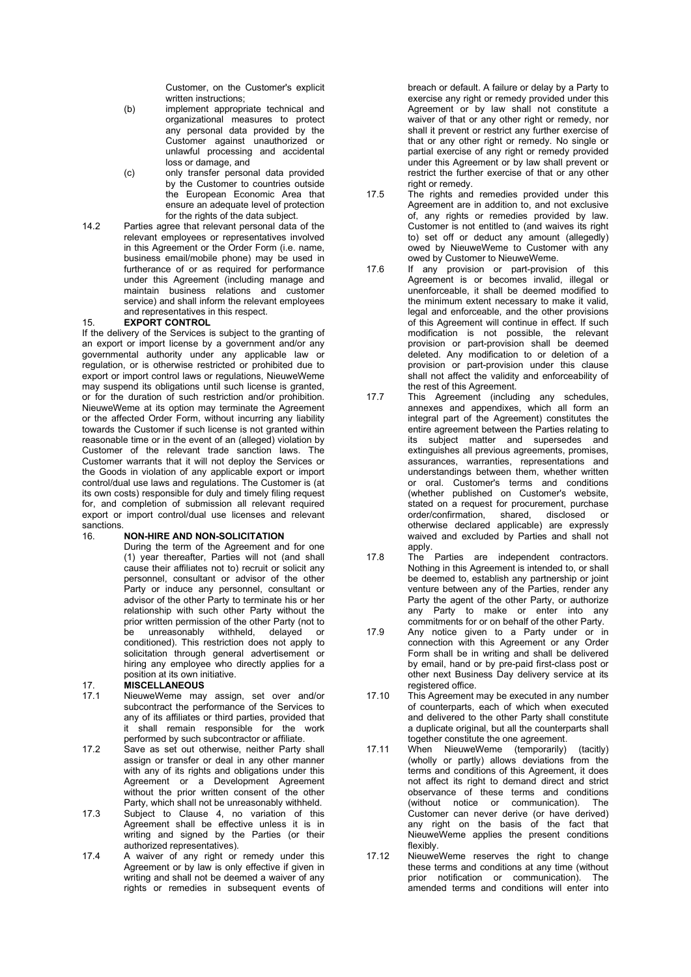Customer, on the Customer's explicit written instructions;

- (b) implement appropriate technical and organizational measures to protect any personal data provided by the Customer against unauthorized or unlawful processing and accidental loss or damage, and
- (c) only transfer personal data provided by the Customer to countries outside the European Economic Area that ensure an adequate level of protection for the rights of the data subject.
- 14.2 Parties agree that relevant personal data of the relevant employees or representatives involved in this Agreement or the Order Form (i.e. name, business email/mobile phone) may be used in furtherance of or as required for performance under this Agreement (including manage and maintain business relations and customer service) and shall inform the relevant employees and representatives in this respect.

### 15. EXPORT CONTROL

If the delivery of the Services is subject to the granting of an export or import license by a government and/or any governmental authority under any applicable law or regulation, or is otherwise restricted or prohibited due to export or import control laws or regulations, NieuweWeme may suspend its obligations until such license is granted, or for the duration of such restriction and/or prohibition. NieuweWeme at its option may terminate the Agreement or the affected Order Form, without incurring any liability towards the Customer if such license is not granted within reasonable time or in the event of an (alleged) violation by Customer of the relevant trade sanction laws. The Customer warrants that it will not deploy the Services or the Goods in violation of any applicable export or import control/dual use laws and regulations. The Customer is (at its own costs) responsible for duly and timely filing request for, and completion of submission all relevant required export or import control/dual use licenses and relevant sanctions.

### 16. NON-HIRE AND NON-SOLICITATION

During the term of the Agreement and for one (1) year thereafter, Parties will not (and shall cause their affiliates not to) recruit or solicit any personnel, consultant or advisor of the other Party or induce any personnel, consultant or advisor of the other Party to terminate his or her relationship with such other Party without the prior written permission of the other Party (not to<br>be unreasonably withheld. delaved or withheld, delayed or conditioned). This restriction does not apply to solicitation through general advertisement or hiring any employee who directly applies for a position at its own initiative.

# 17. **MISCELLANEOUS**<br>17.1 NieuweWeme may

- NieuweWeme may assign, set over and/or subcontract the performance of the Services to any of its affiliates or third parties, provided that it shall remain responsible for the work performed by such subcontractor or affiliate.
- 17.2 Save as set out otherwise, neither Party shall assign or transfer or deal in any other manner with any of its rights and obligations under this Agreement or a Development Agreement without the prior written consent of the other Party, which shall not be unreasonably withheld.
- 17.3 Subject to Clause 4, no variation of this Agreement shall be effective unless it is in writing and signed by the Parties (or their authorized representatives).
- 17.4 A waiver of any right or remedy under this Agreement or by law is only effective if given in writing and shall not be deemed a waiver of any rights or remedies in subsequent events of

breach or default. A failure or delay by a Party to exercise any right or remedy provided under this Agreement or by law shall not constitute a waiver of that or any other right or remedy, nor shall it prevent or restrict any further exercise of that or any other right or remedy. No single or partial exercise of any right or remedy provided under this Agreement or by law shall prevent or restrict the further exercise of that or any other right or remedy.

- 17.5 The rights and remedies provided under this Agreement are in addition to, and not exclusive of, any rights or remedies provided by law. Customer is not entitled to (and waives its right to) set off or deduct any amount (allegedly) owed by NieuweWeme to Customer with any owed by Customer to NieuweWeme.
- 17.6 If any provision or part-provision of this Agreement is or becomes invalid, illegal or unenforceable, it shall be deemed modified to the minimum extent necessary to make it valid, legal and enforceable, and the other provisions of this Agreement will continue in effect. If such modification is not possible, the relevant provision or part-provision shall be deemed deleted. Any modification to or deletion of a provision or part-provision under this clause shall not affect the validity and enforceability of the rest of this Agreement.
- 17.7 This Agreement (including any schedules, annexes and appendixes, which all form an integral part of the Agreement) constitutes the entire agreement between the Parties relating to its subject matter and supersedes and extinguishes all previous agreements, promises, assurances, warranties, representations and understandings between them, whether written or oral. Customer's terms and conditions (whether published on Customer's website, stated on a request for procurement, purchase<br>order/confirmation. shared. disclosed or order/confirmation, shared, otherwise declared applicable) are expressly waived and excluded by Parties and shall not apply.
- 17.8 The Parties are independent contractors. Nothing in this Agreement is intended to, or shall be deemed to, establish any partnership or joint venture between any of the Parties, render any Party the agent of the other Party, or authorize any Party to make or enter into any commitments for or on behalf of the other Party.
- 17.9 Any notice given to a Party under or in connection with this Agreement or any Order Form shall be in writing and shall be delivered by email, hand or by pre-paid first-class post or other next Business Day delivery service at its registered office.
- 17.10 This Agreement may be executed in any number of counterparts, each of which when executed and delivered to the other Party shall constitute a duplicate original, but all the counterparts shall together constitute the one agreement.
- 17.11 When NieuweWeme (temporarily) (tacitly) (wholly or partly) allows deviations from the terms and conditions of this Agreement, it does not affect its right to demand direct and strict observance of these terms and conditions (without notice or communication). The Customer can never derive (or have derived) any right on the basis of the fact that NieuweWeme applies the present conditions flexibly.
- 17.12 NieuweWeme reserves the right to change these terms and conditions at any time (without prior notification or communication). The amended terms and conditions will enter into